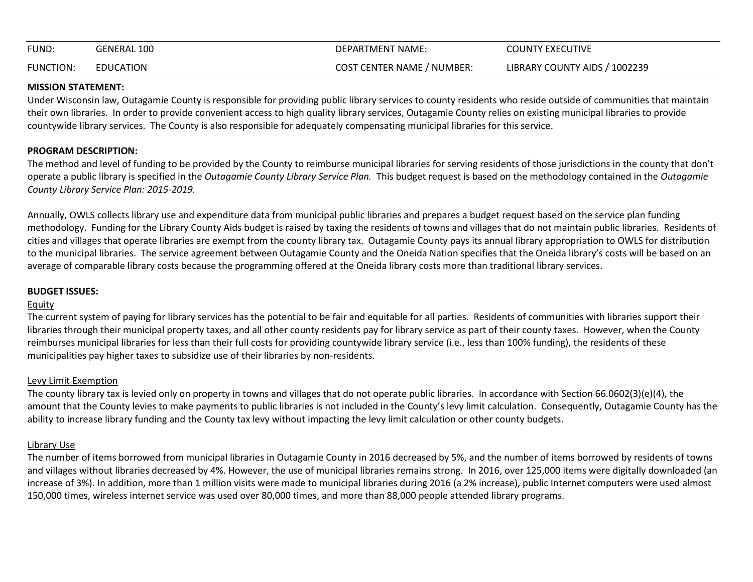| FUND:            | GENERAL 100 | DEPARTMENT NAME:           | <b>COUNTY EXECUTIVE</b>       |
|------------------|-------------|----------------------------|-------------------------------|
| <b>FUNCTION:</b> | EDUCATION   | COST CENTER NAME / NUMBER: | LIBRARY COUNTY AIDS / 1002239 |

## **MISSION STATEMENT:**

Under Wisconsin law, Outagamie County is responsible for providing public library services to county residents who reside outside of communities that maintain their own libraries. In order to provide convenient access to high quality library services, Outagamie County relies on existing municipal libraries to provide countywide library services. The County is also responsible for adequately compensating municipal libraries for this service.

# **PROGRAM DESCRIPTION:**

The method and level of funding to be provided by the County to reimburse municipal libraries for serving residents of those jurisdictions in the county that don't operate a public library is specified in the *Outagamie County Library Service Plan.* This budget request is based on the methodology contained in the *Outagamie County Library Service Plan: 2015-2019.*

Annually, OWLS collects library use and expenditure data from municipal public libraries and prepares a budget request based on the service plan funding methodology. Funding for the Library County Aids budget is raised by taxing the residents of towns and villages that do not maintain public libraries. Residents of cities and villages that operate libraries are exempt from the county library tax. Outagamie County pays its annual library appropriation to OWLS for distribution to the municipal libraries. The service agreement between Outagamie County and the Oneida Nation specifies that the Oneida library's costs will be based on an average of comparable library costs because the programming offered at the Oneida library costs more than traditional library services.

# **BUDGET ISSUES:**

# Equity

The current system of paying for library services has the potential to be fair and equitable for all parties. Residents of communities with libraries support their libraries through their municipal property taxes, and all other county residents pay for library service as part of their county taxes. However, when the County reimburses municipal libraries for less than their full costs for providing countywide library service (i.e., less than 100% funding), the residents of these municipalities pay higher taxes to subsidize use of their libraries by non-residents.

# Levy Limit Exemption

The county library tax is levied only on property in towns and villages that do not operate public libraries. In accordance with Section 66.0602(3)(e)(4), the amount that the County levies to make payments to public libraries is not included in the County's levy limit calculation. Consequently, Outagamie County has the ability to increase library funding and the County tax levy without impacting the levy limit calculation or other county budgets.

# Library Use

The number of items borrowed from municipal libraries in Outagamie County in 2016 decreased by 5%, and the number of items borrowed by residents of towns and villages without libraries decreased by 4%. However, the use of municipal libraries remains strong. In 2016, over 125,000 items were digitally downloaded (an increase of 3%). In addition, more than 1 million visits were made to municipal libraries during 2016 (a 2% increase), public Internet computers were used almost 150,000 times, wireless internet service was used over 80,000 times, and more than 88,000 people attended library programs.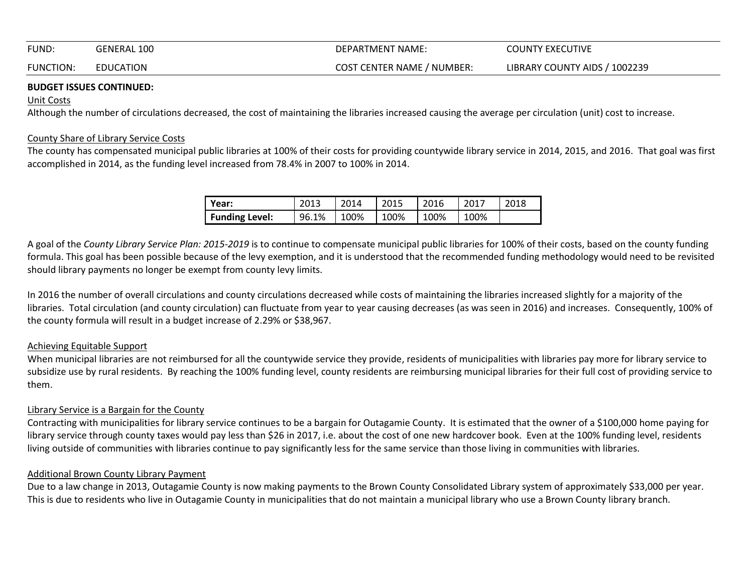| FUND:            | GENERAL 100 | DEPARTMENT NAME:                  | <b>COUNTY EXECUTIVE</b>       |
|------------------|-------------|-----------------------------------|-------------------------------|
| <b>FUNCTION:</b> | EDUCATION   | <b>COST CENTER NAME / NUMBER:</b> | LIBRARY COUNTY AIDS / 1002239 |

## **BUDGET ISSUES CONTINUED:**

## Unit Costs

Although the number of circulations decreased, the cost of maintaining the libraries increased causing the average per circulation (unit) cost to increase.

#### County Share of Library Service Costs

The county has compensated municipal public libraries at 100% of their costs for providing countywide library service in 2014, 2015, and 2016. That goal was first accomplished in 2014, as the funding level increased from 78.4% in 2007 to 100% in 2014.

| l Year:               | 2013  | 2014 | 2015 | 2016 | $201^-$ | 2018 |
|-----------------------|-------|------|------|------|---------|------|
| <b>Funding Level:</b> | 96.1% | 100% | 100% | 100% | 100%    |      |

A goal of the *County Library Service Plan: 2015-2019* is to continue to compensate municipal public libraries for 100% of their costs, based on the county funding formula. This goal has been possible because of the levy exemption, and it is understood that the recommended funding methodology would need to be revisited should library payments no longer be exempt from county levy limits.

In 2016 the number of overall circulations and county circulations decreased while costs of maintaining the libraries increased slightly for a majority of the libraries. Total circulation (and county circulation) can fluctuate from year to year causing decreases (as was seen in 2016) and increases. Consequently, 100% of the county formula will result in a budget increase of 2.29% or \$38,967.

#### Achieving Equitable Support

When municipal libraries are not reimbursed for all the countywide service they provide, residents of municipalities with libraries pay more for library service to subsidize use by rural residents. By reaching the 100% funding level, county residents are reimbursing municipal libraries for their full cost of providing service to them.

#### Library Service is a Bargain for the County

Contracting with municipalities for library service continues to be a bargain for Outagamie County. It is estimated that the owner of a \$100,000 home paying for library service through county taxes would pay less than \$26 in 2017, i.e. about the cost of one new hardcover book. Even at the 100% funding level, residents living outside of communities with libraries continue to pay significantly less for the same service than those living in communities with libraries.

#### Additional Brown County Library Payment

Due to a law change in 2013, Outagamie County is now making payments to the Brown County Consolidated Library system of approximately \$33,000 per year. This is due to residents who live in Outagamie County in municipalities that do not maintain a municipal library who use a Brown County library branch.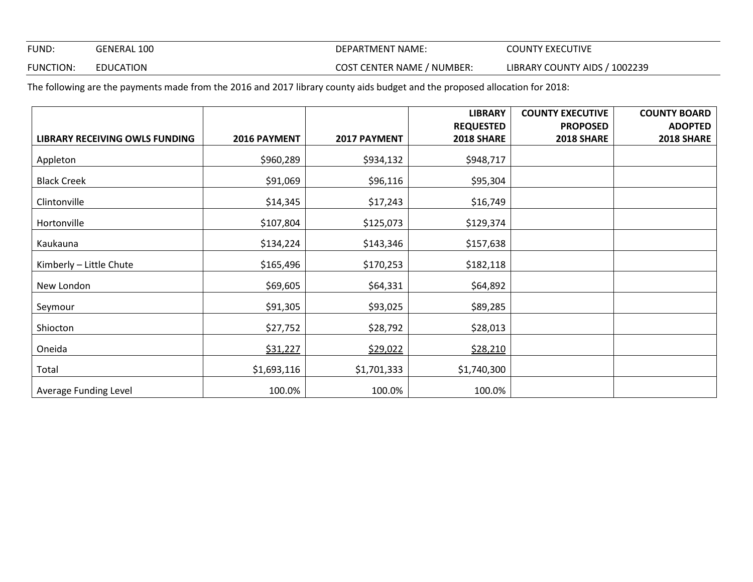FUND: GENERAL 100 GENERAL 100 COUNTY EXECUTIVE

FUNCTION: EDUCATION **EXECUTER SOLUTER SERVICE COST CENTER NAME** / NUMBER: LIBRARY COUNTY AIDS / 1002239

The following are the payments made from the 2016 and 2017 library county aids budget and the proposed allocation for 2018:

|                                       |              |              | <b>LIBRARY</b>   | <b>COUNTY EXECUTIVE</b> | <b>COUNTY BOARD</b> |
|---------------------------------------|--------------|--------------|------------------|-------------------------|---------------------|
|                                       |              |              | <b>REQUESTED</b> | <b>PROPOSED</b>         | <b>ADOPTED</b>      |
| <b>LIBRARY RECEIVING OWLS FUNDING</b> | 2016 PAYMENT | 2017 PAYMENT | 2018 SHARE       | <b>2018 SHARE</b>       | 2018 SHARE          |
| Appleton                              | \$960,289    | \$934,132    | \$948,717        |                         |                     |
| <b>Black Creek</b>                    | \$91,069     | \$96,116     | \$95,304         |                         |                     |
| Clintonville                          | \$14,345     | \$17,243     | \$16,749         |                         |                     |
| Hortonville                           | \$107,804    | \$125,073    | \$129,374        |                         |                     |
| Kaukauna                              | \$134,224    | \$143,346    | \$157,638        |                         |                     |
| Kimberly - Little Chute               | \$165,496    | \$170,253    | \$182,118        |                         |                     |
| New London                            | \$69,605     | \$64,331     | \$64,892         |                         |                     |
| Seymour                               | \$91,305     | \$93,025     | \$89,285         |                         |                     |
| Shiocton                              | \$27,752     | \$28,792     | \$28,013         |                         |                     |
| Oneida                                | \$31,227     | \$29,022     | \$28,210         |                         |                     |
| Total                                 | \$1,693,116  | \$1,701,333  | \$1,740,300      |                         |                     |
| Average Funding Level                 | 100.0%       | 100.0%       | 100.0%           |                         |                     |